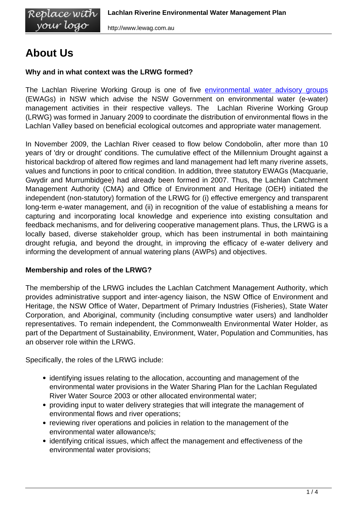# **About Us**

Replace with<br>your logo

## **Why and in what context was the LRWG formed?**

The Lachlan Riverine Working Group is one of five [environmental water advisory groups](http://www.environment.nsw.gov.au/environmentalwater/WaterAdvisoryGroups.htm) (EWAGs) in NSW which advise the NSW Government on environmental water (e-water) management activities in their respective valleys. The Lachlan Riverine Working Group (LRWG) was formed in January 2009 to coordinate the distribution of environmental flows in the Lachlan Valley based on beneficial ecological outcomes and appropriate water management.

In November 2009, the Lachlan River ceased to flow below Condobolin, after more than 10 years of 'dry or drought' conditions. The cumulative effect of the Millennium Drought against a historical backdrop of altered flow regimes and land management had left many riverine assets, values and functions in poor to critical condition. In addition, three statutory EWAGs (Macquarie, Gwydir and Murrumbidgee) had already been formed in 2007. Thus, the Lachlan Catchment Management Authority (CMA) and Office of Environment and Heritage (OEH) initiated the independent (non-statutory) formation of the LRWG for (i) effective emergency and transparent long-term e-water management, and (ii) in recognition of the value of establishing a means for capturing and incorporating local knowledge and experience into existing consultation and feedback mechanisms, and for delivering cooperative management plans. Thus, the LRWG is a locally based, diverse stakeholder group, which has been instrumental in both maintaining drought refugia, and beyond the drought, in improving the efficacy of e-water delivery and informing the development of annual watering plans (AWPs) and objectives.

### **Membership and roles of the LRWG?**

The membership of the LRWG includes the Lachlan Catchment Management Authority, which provides administrative support and inter-agency liaison, the NSW Office of Environment and Heritage, the NSW Office of Water, Department of Primary Industries (Fisheries), State Water Corporation, and Aboriginal, community (including consumptive water users) and landholder representatives. To remain independent, the Commonwealth Environmental Water Holder, as part of the Department of Sustainability, Environment, Water, Population and Communities, has an observer role within the LRWG.

Specifically, the roles of the LRWG include:

- identifying issues relating to the allocation, accounting and management of the environmental water provisions in the Water Sharing Plan for the Lachlan Regulated River Water Source 2003 or other allocated environmental water;
- providing input to water delivery strategies that will integrate the management of environmental flows and river operations;
- reviewing river operations and policies in relation to the management of the environmental water allowance/s;
- identifying critical issues, which affect the management and effectiveness of the environmental water provisions;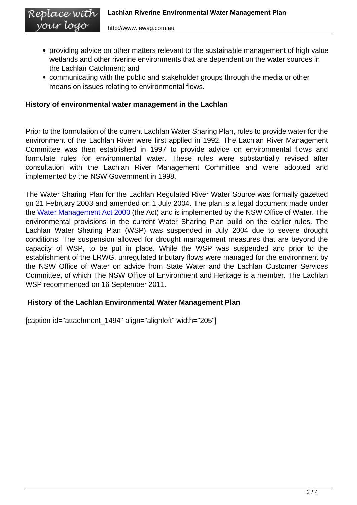Replace with vour logo

- providing advice on other matters relevant to the sustainable management of high value wetlands and other riverine environments that are dependent on the water sources in the Lachlan Catchment; and
- communicating with the public and stakeholder groups through the media or other means on issues relating to environmental flows.

#### **History of environmental water management in the Lachlan**

Prior to the formulation of the current Lachlan Water Sharing Plan, rules to provide water for the environment of the Lachlan River were first applied in 1992. The Lachlan River Management Committee was then established in 1997 to provide advice on environmental flows and formulate rules for environmental water. These rules were substantially revised after consultation with the Lachlan River Management Committee and were adopted and implemented by the NSW Government in 1998.

The Water Sharing Plan for the Lachlan Regulated River Water Source was formally gazetted on 21 February 2003 and amended on 1 July 2004. The plan is a legal document made under the [Water Management Act 2000](http://www.austlii.edu.au/au/legis/nsw/consol_act/wma2000166/) (the Act) and is implemented by the NSW Office of Water. The environmental provisions in the current Water Sharing Plan build on the earlier rules. The Lachlan Water Sharing Plan (WSP) was suspended in July 2004 due to severe drought conditions. The suspension allowed for drought management measures that are beyond the capacity of WSP, to be put in place. While the WSP was suspended and prior to the establishment of the LRWG, unregulated tributary flows were managed for the environment by the NSW Office of Water on advice from State Water and the Lachlan Customer Services Committee, of which The NSW Office of Environment and Heritage is a member. The Lachlan WSP recommenced on 16 September 2011.

### **History of the Lachlan Environmental Water Management Plan**

[caption id="attachment\_1494" align="alignleft" width="205"]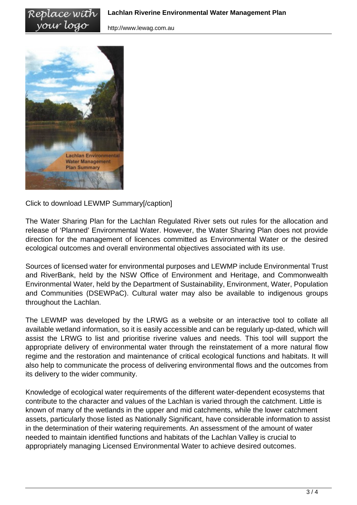http://www.lewag.com.au



Replace with your logo

Click to download LEWMP Summary[/caption]

The Water Sharing Plan for the Lachlan Regulated River sets out rules for the allocation and release of 'Planned' Environmental Water. However, the Water Sharing Plan does not provide direction for the management of licences committed as Environmental Water or the desired ecological outcomes and overall environmental objectives associated with its use.

Sources of licensed water for environmental purposes and LEWMP include Environmental Trust and RiverBank, held by the NSW Office of Environment and Heritage, and Commonwealth Environmental Water, held by the Department of Sustainability, Environment, Water, Population and Communities (DSEWPaC). Cultural water may also be available to indigenous groups throughout the Lachlan.

The LEWMP was developed by the LRWG as a website or an interactive tool to collate all available wetland information, so it is easily accessible and can be regularly up-dated, which will assist the LRWG to list and prioritise riverine values and needs. This tool will support the appropriate delivery of environmental water through the reinstatement of a more natural flow regime and the restoration and maintenance of critical ecological functions and habitats. It will also help to communicate the process of delivering environmental flows and the outcomes from its delivery to the wider community.

Knowledge of ecological water requirements of the different water-dependent ecosystems that contribute to the character and values of the Lachlan is varied through the catchment. Little is known of many of the wetlands in the upper and mid catchments, while the lower catchment assets, particularly those listed as Nationally Significant, have considerable information to assist in the determination of their watering requirements. An assessment of the amount of water needed to maintain identified functions and habitats of the Lachlan Valley is crucial to appropriately managing Licensed Environmental Water to achieve desired outcomes.